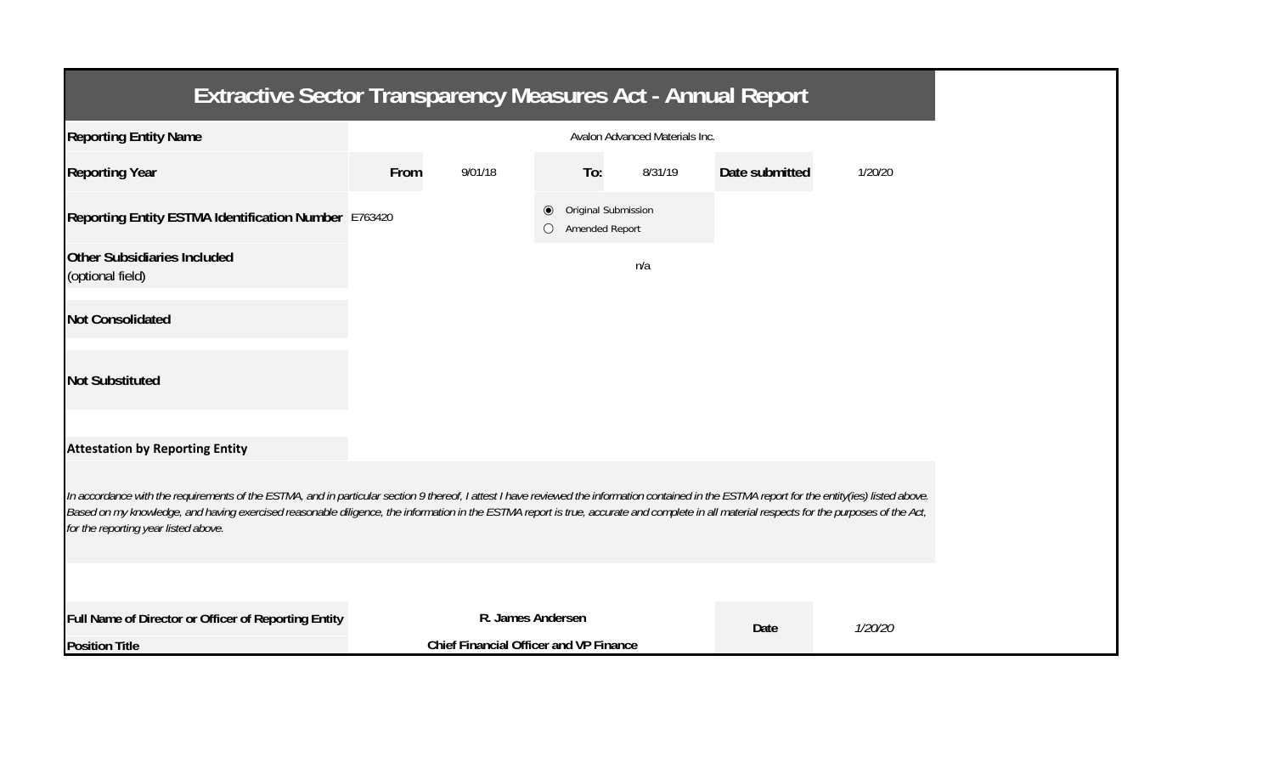| <b>Extractive Sector Transparency Measures Act - Annual Report</b>                                                                                                                                                                                                                                                                                                                                                                    |      |                                               |                                                        |     |         |                |         |  |  |  |
|---------------------------------------------------------------------------------------------------------------------------------------------------------------------------------------------------------------------------------------------------------------------------------------------------------------------------------------------------------------------------------------------------------------------------------------|------|-----------------------------------------------|--------------------------------------------------------|-----|---------|----------------|---------|--|--|--|
| <b>Reporting Entity Name</b>                                                                                                                                                                                                                                                                                                                                                                                                          |      | Avalon Advanced Materials Inc.                |                                                        |     |         |                |         |  |  |  |
| <b>Reporting Year</b>                                                                                                                                                                                                                                                                                                                                                                                                                 | From | 9/01/18                                       |                                                        | To: | 8/31/19 | Date submitted | 1/20/20 |  |  |  |
| Reporting Entity ESTMA Identification Number E763420                                                                                                                                                                                                                                                                                                                                                                                  |      |                                               | Original Submission<br>◉<br><b>Amended Report</b><br>Ω |     |         |                |         |  |  |  |
| Other Subsidiaries Included<br>(optional field)                                                                                                                                                                                                                                                                                                                                                                                       |      |                                               |                                                        |     | n/a     |                |         |  |  |  |
| <b>Not Consolidated</b>                                                                                                                                                                                                                                                                                                                                                                                                               |      |                                               |                                                        |     |         |                |         |  |  |  |
| <b>Not Substituted</b>                                                                                                                                                                                                                                                                                                                                                                                                                |      |                                               |                                                        |     |         |                |         |  |  |  |
| <b>Attestation by Reporting Entity</b>                                                                                                                                                                                                                                                                                                                                                                                                |      |                                               |                                                        |     |         |                |         |  |  |  |
| In accordance with the requirements of the ESTMA, and in particular section 9 thereof, I attest I have reviewed the information contained in the ESTMA report for the entity(ies) listed above.<br>Based on my knowledge, and having exercised reasonable diligence, the information in the ESTMA report is true, accurate and complete in all material respects for the purposes of the Act,<br>for the reporting year listed above. |      |                                               |                                                        |     |         |                |         |  |  |  |
|                                                                                                                                                                                                                                                                                                                                                                                                                                       |      |                                               |                                                        |     |         |                |         |  |  |  |
| Full Name of Director or Officer of Reporting Entity                                                                                                                                                                                                                                                                                                                                                                                  |      | R. James Andersen                             |                                                        |     |         | Date           | 1/20/20 |  |  |  |
| <b>Position Title</b>                                                                                                                                                                                                                                                                                                                                                                                                                 |      | <b>Chief Financial Officer and VP Finance</b> |                                                        |     |         |                |         |  |  |  |